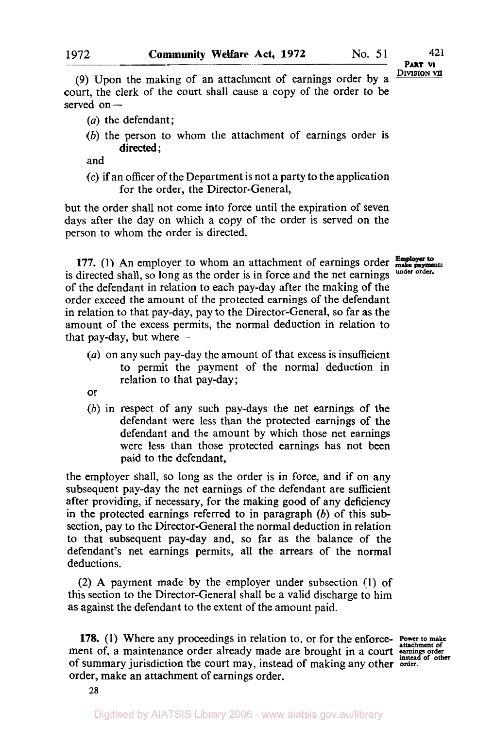**DIVISION VII PART VI** 

(9) Upon the making of an attachment of earnings order by **a**  court, the clerk of the court shall cause a copy of the order to be served on-

- *(a)* the defendant;
- *(b)* the person to whom the attachment of earnings order is directed:

and

**(c)** if an officer of the Department is not a party to the application for the order, the Director-General,

but the order shall not come into force until the expiration of seven days after the day on which a copy of the order is served on the person to whom the order is directed.

**177. (1)** An employer to whom an attachment of earnings order is directed shall, so long as the order is in force and the net earnings of the defendant in relation to each pay-day after the making of the order exceed the amount of the protected earnings of the defendant in relation to that pay-day, pay to the Director-General, so far as the amount of the excess permits, the normal deduction in relation to that pay-day, but where-

- *(a)* on any such pay-day the amount of that excess **is** insufficient to permit the payment of the normal deduction in relation to that pay-day;
- or
- *(b)* in respect of any such pay-days the net earnings of the defendant were less than the protected earnings of the defendant and the amount by which those net earnings were less than those protected earnings has not been paid to the defendant,

the employer shall, so long as the order is in force, and if on any subsequent pay-day the net earnings of the defendant are sufficient after providing, if necessary, for the making good of any deficiency **in** the protected earnings referred to in paragraph *(b)* of this subsection, pay to the Director-General the normal deduction in relation to that subsequent pay-day and, so far as the balance of the defendant's net earnings permits, all the arrears of the normal deductions.

**(2) A** payment made by the employer under subsection **(1)** of this section to the Director-General shall be a valid discharge to him as against the defendant to the extent of the amount paid.

**178.** (1) Where any proceedings in relation to, or for the enforce- Power to make ment of, a maintenance order already made are brought in a court **examines** order alread of other of summary jurisdiction the court may, instead of making any other **order.**  order, make an attachment of earnings order.

Employer to<br>make payme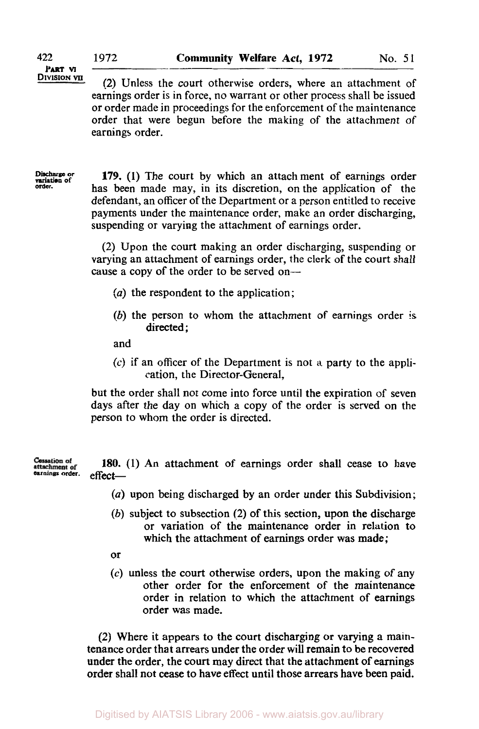**DIVISION VII** (2) Unless the court otherwise orders, where an attachment of earnings order is in force, no warrant or other process shall be issued or order made in proceedings for the enforcement of the maintenance order that were begun before the making of the attachment of earnings order.

Discharge or variation of **order.** 

**179.** (1) The court by which an attach ment of earnings order has been made may, in its discretion, on the application of the defendant, an officer of the Department or a person entitled to receive payments under the maintenance order, make an order discharging, suspending or varying the attachment of earnings order.

(2) Upon the court making an order discharging, suspending or varying an attachment of earnings order, the clerk of the court shall cause a copy of the order to be served on-

- (a) the respondent to the application;
- (b) the person to whom the attachment **of** earnings order is directed:

and

(c) if an officer of the Department is not a party to the application, the Director-General,

but the order shall not come into force until the expiration of seven days after the day on which a copy of the order is served on the person to whom the order is directed.

180. (1) An attachment of earnings order shall cease to have effect— **Cessation of**<br>attachment of<br>earnings order.

- (a) upon being discharged by an order under this Subdivision;
- (b) subject to subsection (2) of this section, upon the discharge or variation of the maintenance order in relation to which the attachment of earnings order was made;
- or
- **(c)** unless the court otherwise orders, upon the making of any other order for the enforcement of the maintenance order in relation to which the attachment of earnings order was made.

(2) Where it appears to the court discharging or varying a maintenance order that arrears under the order will remain to be recovered under the order, the court may direct that the attachment of earnings order shall not cease to have effect until those arrears have been paid.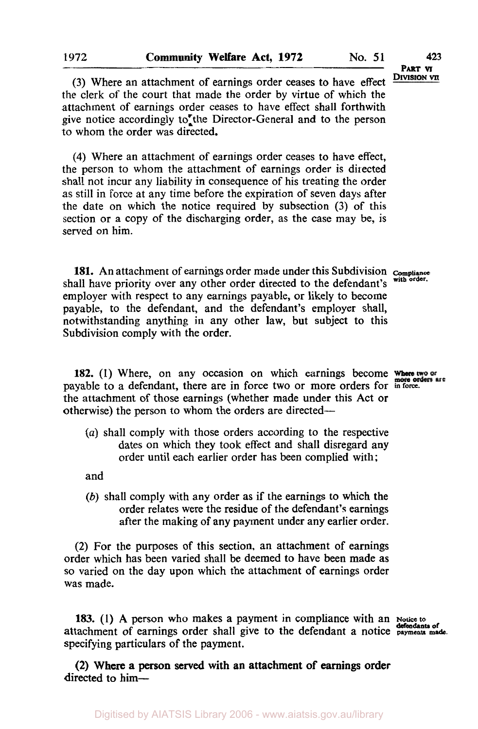(3) Where an attachment of earnings order ceases to have effect the clerk of the court that made the order by virtue of which the attachment of earnings order ceases to have effect shall forthwith give notice accordingly to the Director-General and to the person to whom the order was directed.

**(4)** Where an attachment of earnings order ceases to have effect, the person to whom the attachment of earnings order is directed shall not incur any liability in consequence of his treating the order as still in force at any time before the expiration of seven days after the date on which the notice required by subsection (3) of this section or a copy of the discharging order, as the case may be, is served on him.

**181.** An attachment of earnings order made under this Subdivision **Compliance**  shall have priority over any other order directed to the defendant's employer with respect to any earnings payable, or likely to become payable, to the defendant, and the defendant's employer shall, notwithstanding anything in any other law, but subject to this Subdivision comply with the order.

182. (1) Where, on any occasion on which earnings become where two or payable to a defendant, there are in force two or more orders for *in force*. the attachment of those earnings (whether made under this Act or otherwise) the person to whom the orders are directed-

(a) shall comply with those orders according to the respective dates on which they took effect and shall disregard any order until each earlier order has been complied with;

and

(b) shall comply with any order as if the earnings to which the order relates were the residue of the defendant's earnings after the making of any payment under any earlier order.

(2) For the purposes of this section, an attachment of earnings order which has been varied shall be deemed to have been made as so varied on the day upon which the attachment of earnings order was made.

183. (1) A person who makes a payment in compliance with an **Notice to** attachment of earnings order shall give to the defendant a notice **payments** made. specifying particulars of the payment.

directed to him-(2) Where a person served with an attachment of earnings order

**DIVISION VII PART VI**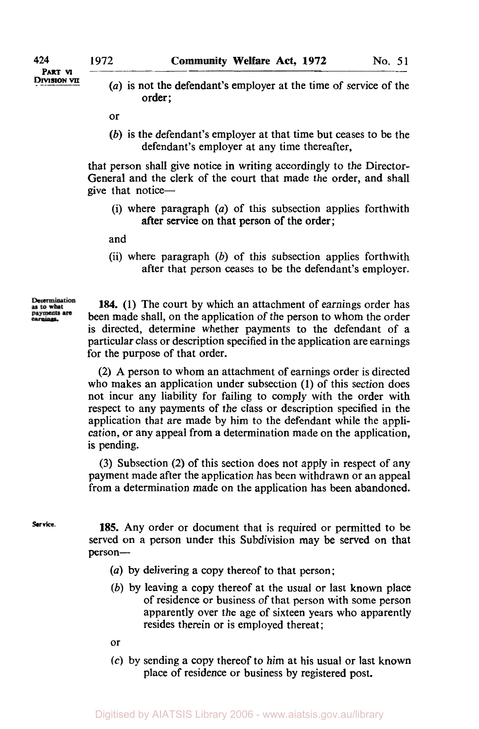**DIVISION VII PART VI** 

*(a)* is not the defendant's employer at the time of service of the order;

or

(b) is the defendant's employer at that time but ceases to be the defendant's employer at any time thereafter,

that person shall give notice in writing accordingly to the Director-General and the clerk of the court that made the order, and shall give that notice-

(i) where paragraph *(a)* of this subsection applies forthwith after service on that person of the order;

and

(ii) where paragraph  $(b)$  of this subsection applies forthwith after that person ceases to be the defendant's employer.

Determination as to what payments are arnings.

184. (1) The court by which an attachment of earnings order has been made shall, on the application of the person to whom the order is directed, determine whether payments to the defendant of a particular class or description specified in the application are earnings for the purpose of that order.

(2) A person to whom an attachment of earnings order is directed who makes an application under subsection (1) of this section does not incur any liability for failing to comply with the order with respect to any payments of the class or description specified in the application that are made by him to the defendant while the application, or any appeal from a determination made on the application, is pending.

(3) Subsection (2) of this section does not apply in respect of any payment made after the application has been withdrawn or an appeal from a determination made on the application has been abandoned.

**Service.** 

**185.** Any order or document that **is** required or permitted to be served on a person under this Subdivision may be served on that person-

- (a) by delivering a copy thereof to that person;
- (b) by leaving a copy thereof at the usual or last known place of residence or business of that person with some person apparently over the age of sixteen years who apparently resides therein or is employed thereat;
- or
- *(c)* by sending a copy thereof to him at his usual or last known place of residence or business by registered post.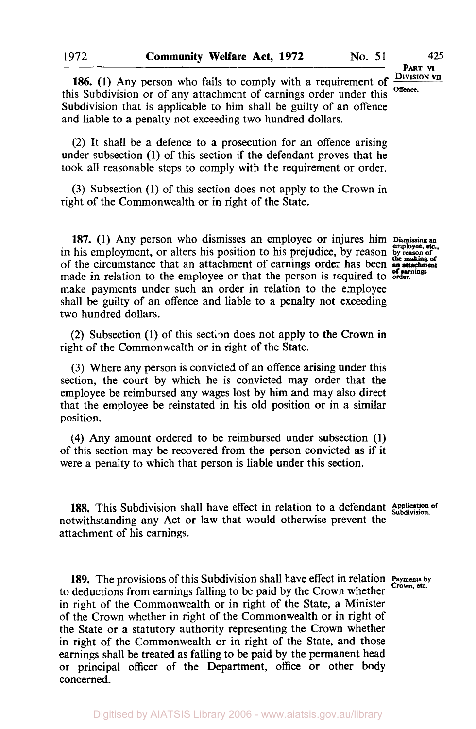**DIVISION VII**

**186.** (1) Any person who fails to comply with a requirement of this Subdivision or of any attachment of earnings order under this **Offence.**  Subdivision that is applicable to him shall be guilty of an offence and liable to a penalty not exceeding two hundred dollars.

(2) It shall be a defence to a prosecution for an offence arising under subsection (1) of this section if the defendant proves that he took all reasonable steps to comply with the requirement or order.

**(3)** Subsection (1) of this section does not apply to the Crown in right of the Commonwealth or in right of the State.

in his employment, or alters his position to his prejudice, by reason by reason of **of**  the circumstance that an attachment of earnings order has been **an attachment the making of 187. (1)** Any person who dismisses an employee or injures him **Dismissing an of earnings** made in relation to the employee or that the person **is** required to **order.**  make payments under such an order in relation to the employee shall be guilty of an offence and liable to a penalty not exceeding two hundred dollars.

(2) Subsection **(1)** of this section does not apply to the Crown in right of the Commonwealth or in right of the State.

**(3)** Where any person is convicted of an offence arising under this section, the court by which he is convicted may order that the employee be reimbursed any wages lost by him and may also direct that the employee be reinstated in his old position or in a similar position.

**(4)** Any amount ordered to be reimbursed under subsection (1) of this section may be recovered from the person convicted as if it were a penalty to which that person is liable under this section.

**188.** This Subdivision shall have effect in relation to a defendant **Application of Subdivision**  notwithstanding any Act or law that would otherwise prevent the attachment of his earnings.

**189.** The provisions of this Subdivision shall have effect in relation **Payments** by Crown,  $\text{etc.}$ to deductions from earnings falling to be paid by the Crown whether in right of the Commonwealth or in right of the State, a Minister of the Crown whether in right of the Commonwealth or in right of the State or a statutory authority representing the Crown whether in right of the Commonwealth or in right of the State, and those earnings shall be treated as falling to be paid by the permanent head or principal officer of the Department, office or other body concerned.

Digitised by AIATSIS Library 2006 - www.aiatsis.gov.au/library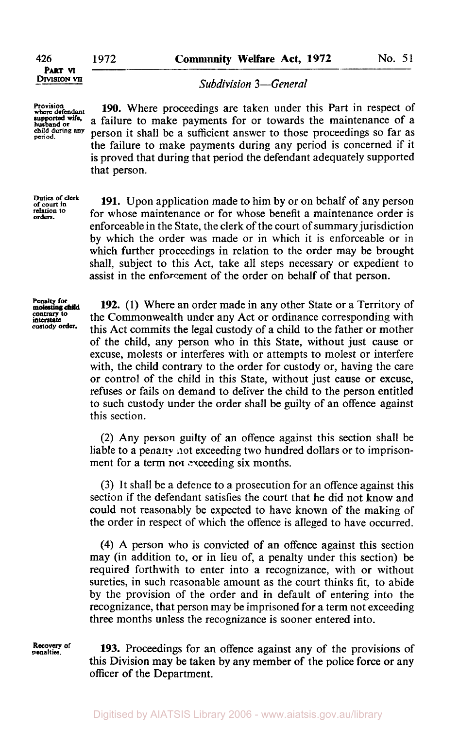**DIVISION VII PART VI** 

**Provision where defendant husband or supported wife,** 

**child during any period.** 

*Subdivision 3-General* 

**190.** Where proceedings are taken under this Part in respect of a failure to make payments for or towards the maintenance of a person it shall be a sufficient answer to those proceedings so far as the failure to make payments during any period is concerned if it is proved that during that period the defendant adequately supported that person.

**Duties of dark of court in relation to orders.** 

**191.** Upon application made to him by or on behalf of any person for whose maintenance or for whose benefit a maintenance order **is**  enforceable in the State, the clerk of the court of summary jurisdiction by which the order was made or in which it is enforceable or in which further proceedings in relation to the order may be brought shall, subject to this Act, take all steps necessary or expedient to assist in the enforcement of the order on behalf of that person.

**Penalty for contrary for**<br> **contrary** to **custody order. interstate** 

**192.** (1) Where an order made in any other State or a Territory of the Commonwealth under any Act or ordinance corresponding with this Act commits the legal custody of a child to the father or mother of the child, any person who in this State, without just cause or excuse, molests or interferes with or attempts to molest or interfere with, the child contrary to the order for custody or, having the care or control of the child in this State, without just cause or excuse, refuses or fails on demand to deliver the child to the person entitled to such custody under the order shall be guilty of an offence against this section.

(2) Any person guilty of an offence against this section shall be liable to a penalty not exceeding two hundred dollars or to imprisonment for a term **nor** exceeding six months.

**(3)** It shall be a defence to a prosecution for an offence against this section if the defendant satisfies the court that he did not know and could not reasonably be expected to have known of the making of the order in respect of which the offence is alleged to have occurred.

**(4) A** person who is convicted of an offence against this section may (in addition to, or in lieu of, a penalty under this section) be required forthwith to enter into a recognizance, with or without sureties, in such reasonable amount as the court thinks fit, to abide by the provision of the order and in default of entering into the recognizance, that person may be imprisoned for a term not exceeding three months unless the recognizance is sooner entered into.

**Recovery of penalties.** 

**193.** Proceedings for an offence against any of the provisions of this Division may be taken by any member **of** the police force or any officer of the Department.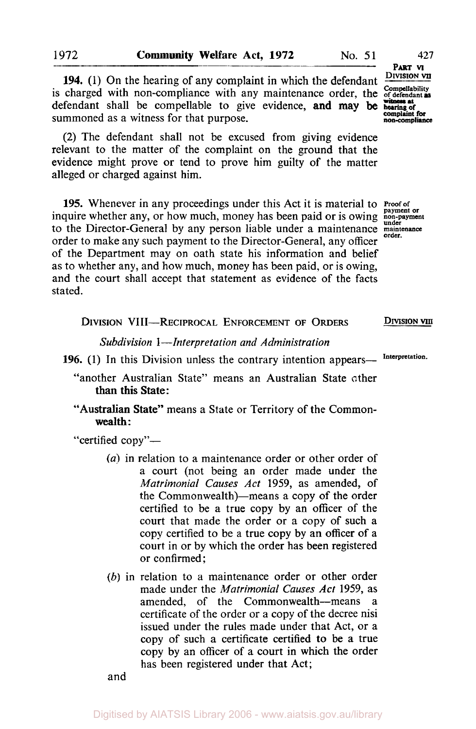**194.** (1) On the hearing of any complaint in which the defendant  $\frac{\text{DVysion VI}}{\text{Complelability}}$  is charged with non-compliance with any maintenance order, the *of defendant* as defendant shall be compellable to give evidence, and may be **hearing** of summoned as a witness for that purpose.

(2) The defendant shall not be excused from giving evidence relevant to the matter of the complaint on the ground that the evidence might prove or tend to prove him guilty of the matter alleged or charged against him.

**195.** Whenever in any proceedings under this Act it is material to **Proof of** inquire whether any, or how much, money has been paid or is owing **non-payment** to the Director-General by any person liable under a maintenance maintenance order to make any such payment to the Director-General, any officer of the Department may on oath state his information and belief as to whether any, and how much, money has been paid, or is owing, and the court shall accept that statement as evidence of the facts stated.

| DIVISION VIII-RECIPROCAL ENFORCEMENT OF ORDERS                   | DIVISION VIII   |
|------------------------------------------------------------------|-----------------|
| Subdivision 1—Interpretation and Administration                  |                 |
| 196. (1) In this Division unless the contrary intention appears— | Interpretation. |

"another Australian State" means an Australian State other than this State:

"Australian State" means a State or Territory of the Common wealth :

"certified copy"—

- *(a)* in relation to a maintenance order or other order of a court (not being an order made under the *Matrimonial Causes Act* 1959, as amended, of the Commonwealth)—means a copy of the order certified to be a true copy by an officer of the court that made the order or a copy of such a copy certified to be a true copy by an officer of a court in or by which the order has been registered or confirmed;
- *(b)* in relation to a maintenance order or other order made under the *Matrimonial Causes Act* 1959, as amended, of the Commonwealth-means a certificate of the order or a copy of the decree nisi issued under the rules made under that Act, or a copy of such a certificate certified **to** be a true copy by an officer of a court in which the order has been registered under that Act;

and

**DIVISION VII**  PART **VI complaint for non-compliance** 

DRAGAL **IND**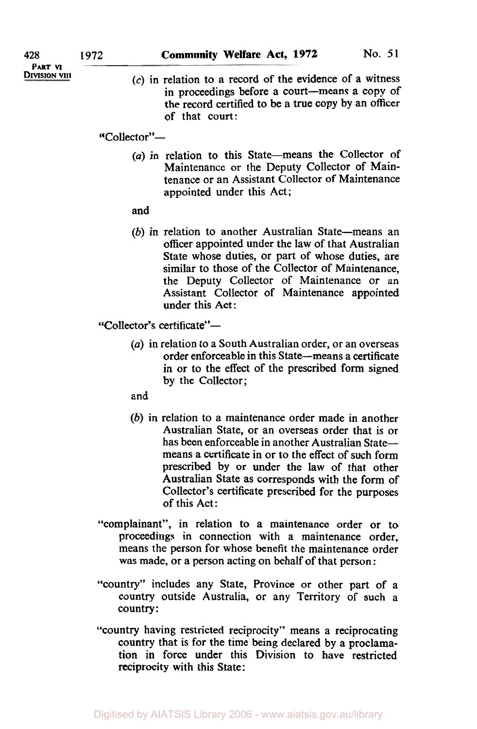**(c)** in relation to a record of the evidence of a witness in proceedings before a court-means a copy of the record certified to be a true copy by an officer of that court:

"Collector"-

(a) in relation to this State-means the Collector of Maintenance or the Deputy Collector of Maintenance or an Assistant Collector of Maintenance appointed under this Act;

## and

 $(b)$  in relation to another Australian State-means an officer appointed under the law of that Australian State whose duties, or part of whose duties, are similar to those of the Collector of Maintenance, the Deputy Collector of Maintenance or an Assistant Collector of Maintenance appointed under this Act:

"Collector's certificate"-

*(a)* in relation to a South Australian order, or an overseas order enforceable in this State-means a certificate in or to the effect of the prescribed form signed by the Collector;

and

- (b) in relation to a maintenance order made in another Australian State, or an overseas order that is or has been enforceable in another Australian Statemeans a certificate in or to the effect of such form prescribed by or under the law of that other Australian State as corresponds with the form of Collector's certificate prescribed for the purposes of this Act:
- "complainant", in relation to a maintenance order or to proceedings in connection with a maintenance order, means the person for whose benefit the maintenance order was made, or a person acting on behalf of that person :
- "country" includes any State, Province or other part of a country outside Australia, or any Territory of such a country:
- "country having restricted reciprocity" means a reciprocating country that is for the time being declared by a proclamation in force under this Division to have restricted reciprocity with this State: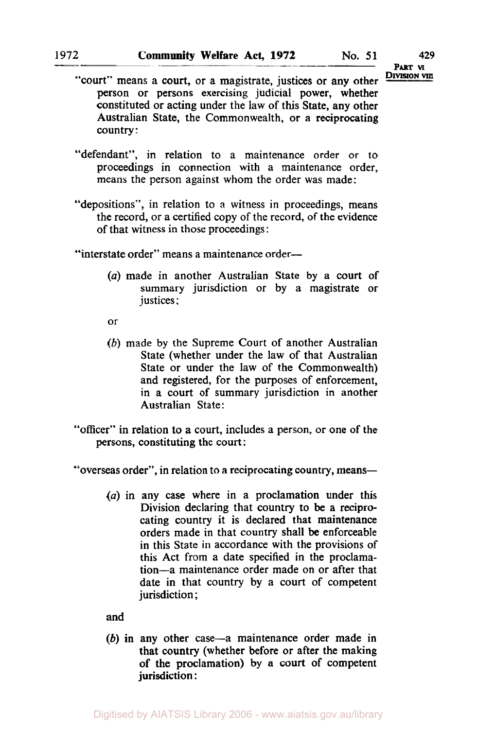**PART VI<br>Division vill** 

- "court" means a court, or a magistrate, justices or any other person or persons exercising judicial power, whether constituted or acting under the law of this State, any other Australian State, the Commonwealth, or a reciprocating country :
- "defendant", in relation to a maintenance order or to proceedings in connection with a maintenance order, means the person against whom the order was made:
- "depositions", in relation to a witness in proceedings, means the record, or a certified copy of the record, of the evidence of that witness in those proceedings :

"interstate order" means a maintenance order-

- *(a)* made in another Australian State by a court of summary jurisdiction or by a magistrate or justices;
- or
- *(b)* made by the Supreme Court of another Australian State (whether under the law of that Australian State or under the law of the Commonwealth) and registered, for the purposes of enforcement, in a court of summary jurisdiction in another Australian State:
- "officer" in relation to a court, includes a person, or one of the persons, constituting the court:

"overseas order", in relation to a reciprocating country, means-

 $(a)$  in any case where in a proclamation under this Division declaring that country to be a reciprocating country it is declared that maintenance orders made in that country shall be enforceable in this State in accordance with the provisions of this Act from a date specified in the proclamation-a maintenance order made on or after that date in that country by a court of competent jurisdiction ;

and

*(b)* in any other case-a maintenance order made in that country (whether before or after the making of the proclamation) by a court of competent jurisdiction :